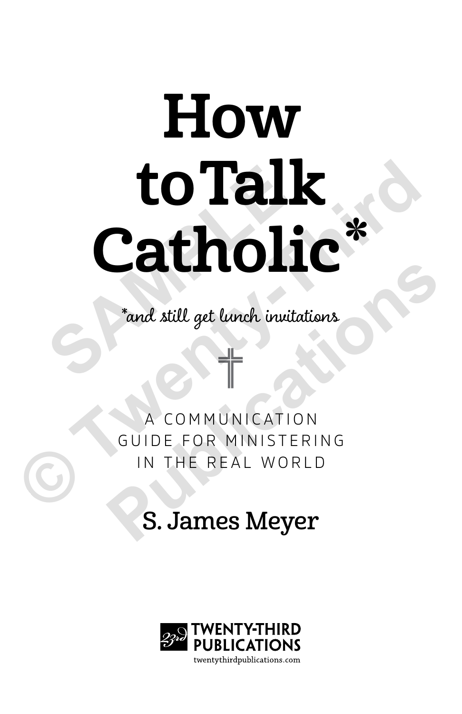# How to Talk Catholic\* to Talk<br>Catholi<br> **S** and still get lunch invitare **© Twenty-Third**

\*and still get lunch invitations

COMMUNICATION GUIDE FOR MINISTERING IN THE REAL WORLD **Pand still get lunch invitations<br>
A COMMUNICATION<br>
GUIDE FOR MINISTERING<br>
IN THE REAL WORLD<br>
S. James Meyer** 

### S. James Meyer

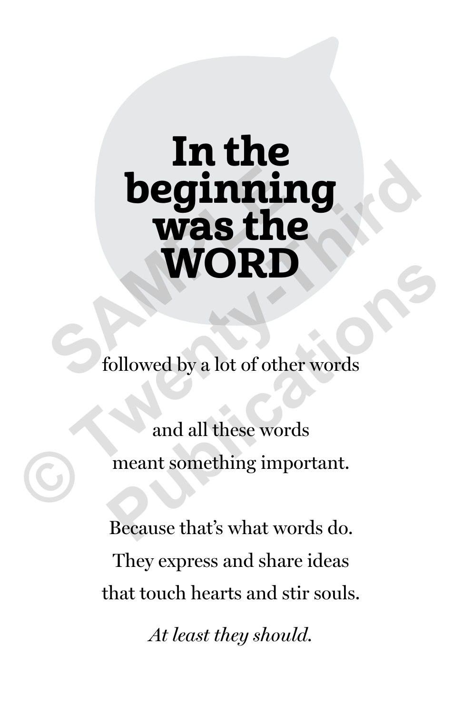## In the beginning was the WORD **SAMPLE 1999 WAS the WORD**<br> **EXAMPLE 1999 WORD**<br>
Followed by a lot of other words<br>
and all these words<br>
meant something important.

followed by a lot of other words

and all these words meant something important. Followed by a lot of other words<br>
and all these words<br>
meant something important.<br>
Because that's what words do.

Because that's what words do. They express and share ideas that touch hearts and stir souls.

*At least they should.*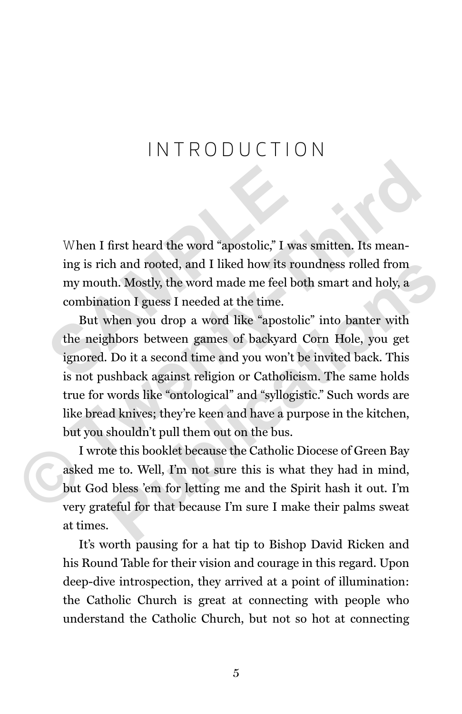#### INTRODUCTION

When I first heard the word "apostolic," I was smitten. Its meaning is rich and rooted, and I liked how its roundness rolled from my mouth. Mostly, the word made me feel both smart and holy, a combination I guess I needed at the time. When I first heard the word "apostolic," I was<br>ing is rich and rooted, and I liked how its rou<br>my mouth. Mostly, the word made me feel bot<br>combination I guess I needed at the time.<br>But when you drop a word like "apostolic<br>

But when you drop a word like "apostolic" into banter with the neighbors between games of backyard Corn Hole, you get ignored. Do it a second time and you won't be invited back. This is not pushback against religion or Catholicism. The same holds true for words like "ontological" and "syllogistic." Such words are like bread knives; they're keen and have a purpose in the kitchen, but you shouldn't pull them out on the bus. When I first heard the word "apostolic," I was smitten. Its meaning is rich and rooted, and I liked how its roundness rolled from my mouth. Mostly, the word made me fiel both smart and holy, a combination I guess I needed th and rooted, and I liked how its roundness rolled from<br>th. Mostly, the word made me feel both smart and holy, a<br>ation I guess I needed at the time.<br>when you drop a word like "apostolic" into banter with<br>thbors between ga

I wrote this booklet because the Catholic Diocese of Green Bay asked me to. Well, I'm not sure this is what they had in mind, but God bless 'em for letting me and the Spirit hash it out. I'm very grateful for that because I'm sure I make their palms sweat at times.

It's worth pausing for a hat tip to Bishop David Ricken and his Round Table for their vision and courage in this regard. Upon deep-dive introspection, they arrived at a point of illumination: the Catholic Church is great at connecting with people who understand the Catholic Church, but not so hot at connecting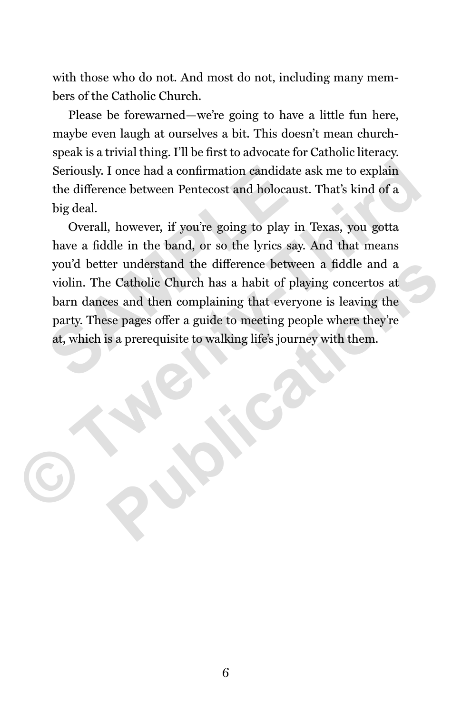with those who do not. And most do not, including many members of the Catholic Church.

Please be forewarned—we're going to have a little fun here, maybe even laugh at ourselves a bit. This doesn't mean churchspeak is a trivial thing. I'll be first to advocate for Catholic literacy. Seriously. I once had a confirmation candidate ask me to explain the difference between Pentecost and holocaust. That's kind of a big deal.

Overall, however, if you're going to play in Texas, you gotta have a fiddle in the band, or so the lyrics say. And that means you'd better understand the difference between a fiddle and a violin. The Catholic Church has a habit of playing concertos at barn dances and then complaining that everyone is leaving the party. These pages offer a guide to meeting people where they're at, which is a prerequisite to walking life's journey with them. Seriously. I once had a confirmation candidate at the difference between Pentecost and holocaust big deal.<br>
Overall, however, if you're going to play in have a fiddle in the band, or so the lyrics say.<br>
you'd better unders Seriously. I once had a confirmation candidate ask me to explain<br>the difference between Pentecost and holocaust. That's kind of a<br>big deal.<br>Overall, however, if you're going to play in Texas, you gotta<br>have a fiddle in the er understand the difference between a fiddle and a<br>e Catholic Church has a habit of playing concertos at<br>res and then complaining that everyone is leaving the<br>se pages offer a guide to meeting people where they're<br>is a pr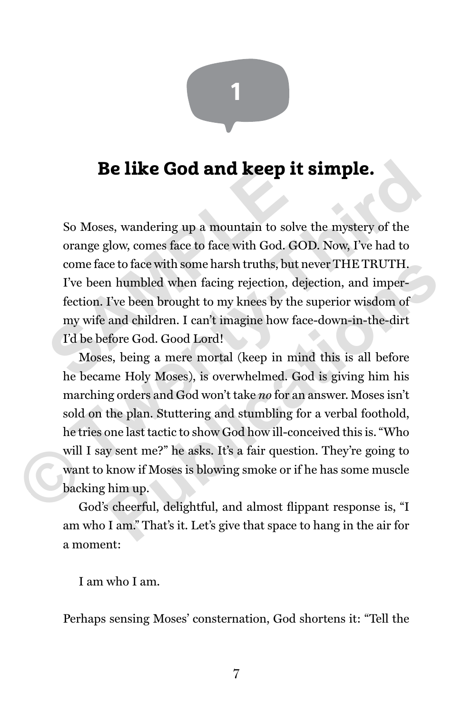

#### Be like God and keep it simple.

So Moses, wandering up a mountain to solve the mystery of the orange glow, comes face to face with God. GOD. Now, I've had to come face to face with some harsh truths, but never THE TRUTH. I've been humbled when facing rejection, dejection, and imperfection. I've been brought to my knees by the superior wisdom of my wife and children. I can't imagine how face-down-in-the-dirt I'd be before God. Good Lord! **So Moses, wandering up a mountain to solve**<br>orange glow, comes face to face with God. GO<br>come face to face with some harsh truths, but n<br>I've been humbled when facing rejection, dej<br>fection. I've been brought to my knees

Moses, being a mere mortal (keep in mind this is all before he became Holy Moses), is overwhelmed. God is giving him his marching orders and God won't take *no* for an answer. Moses isn't sold on the plan. Stuttering and stumbling for a verbal foothold, he tries one last tactic to show God how ill-conceived this is. "Who will I say sent me?" he asks. It's a fair question. They're going to want to know if Moses is blowing smoke or if he has some muscle backing him up. **Be like God and keep it simple.**<br>So Moses, wandering up a mountain to solve the mystery of the orange glow, comes face to face with God. GOD. Now, I've had to come face to face with some harsh truths, but never THE TRUTH. be to face with some harsh truths, but never THE TRUTH.<br>
In humbled when facing rejection, dejection, and imper-<br>
I've been brought to my knees by the superior wisdom of<br>
and children. I can't imagine how face-down-in-the-

God's cheerful, delightful, and almost flippant response is, "I am who I am." That's it. Let's give that space to hang in the air for a moment:

I am who I am.

Perhaps sensing Moses' consternation, God shortens it: "Tell the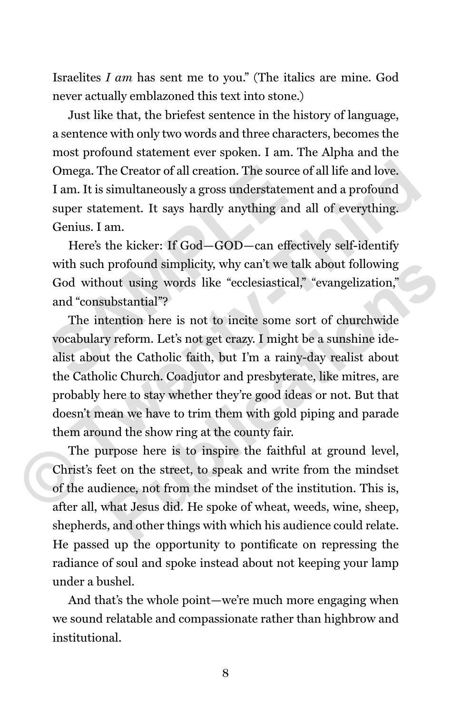Israelites *I am* has sent me to you." (The italics are mine. God never actually emblazoned this text into stone.)

Just like that, the briefest sentence in the history of language, a sentence with only two words and three characters, becomes the most profound statement ever spoken. I am. The Alpha and the Omega. The Creator of all creation. The source of all life and love. I am. It is simultaneously a gross understatement and a profound super statement. It says hardly anything and all of everything. Genius. I am.

Here's the kicker: If God—GOD—can effectively self-identify with such profound simplicity, why can't we talk about following God without using words like "ecclesiastical," "evangelization," and "consubstantial"? Omega. The Creator of all creation. The source of<br>
I am. It is simultaneously a gross understatemer<br>
super statement. It says hardly anything and<br>
Genius. I am.<br>
Here's the kicker: If God—GOD—can effect<br>
with such profound

The intention here is not to incite some sort of churchwide vocabulary reform. Let's not get crazy. I might be a sunshine idealist about the Catholic faith, but I'm a rainy-day realist about the Catholic Church. Coadjutor and presbyterate, like mitres, are probably here to stay whether they're good ideas or not. But that doesn't mean we have to trim them with gold piping and parade them around the show ring at the county fair. Omega. The Creator of all creation. The source of all life and love.<br>
I am. It is simultaneously a gross understatement and a profound<br>
super statement. It says hardly anything and all of everything.<br>
Genius. I am.<br>
Here's profound simplicity, why can't we talk about following<br>out using words like "ecclesiastical," "evangelization,"<br>abstantial"?<br>tention here is not to incite some sort of churchwide<br>y reform. Let's not get crazy. I might be a

The purpose here is to inspire the faithful at ground level, Christ's feet on the street, to speak and write from the mindset of the audience, not from the mindset of the institution. This is, after all, what Jesus did. He spoke of wheat, weeds, wine, sheep, shepherds, and other things with which his audience could relate. He passed up the opportunity to pontificate on repressing the radiance of soul and spoke instead about not keeping your lamp under a bushel.

And that's the whole point—we're much more engaging when we sound relatable and compassionate rather than highbrow and institutional.